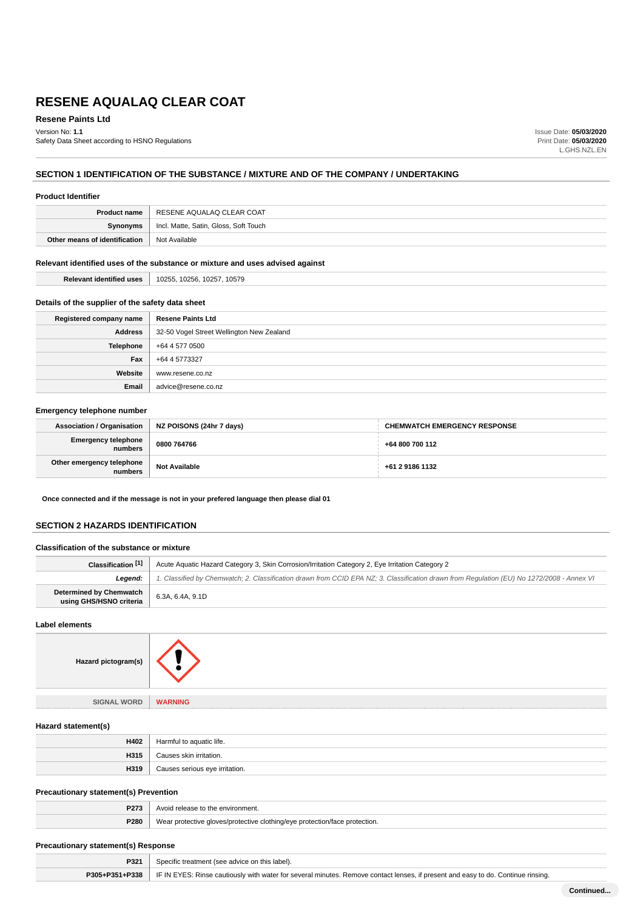**Resene Paints Ltd**

Version No: **1.1** Safety Data Sheet according to HSNO Regulations Issue Date: **05/03/2020** Print Date: **05/03/2020** L.GHS.NZL.EN

## **SECTION 1 IDENTIFICATION OF THE SUBSTANCE / MIXTURE AND OF THE COMPANY / UNDERTAKING**

| <b>Product Identifier</b>                                                     |                                       |
|-------------------------------------------------------------------------------|---------------------------------------|
| <b>Product name</b>                                                           | RESENE AQUALAQ CLEAR COAT             |
| Synonyms                                                                      | Incl. Matte, Satin, Gloss, Soft Touch |
| Other means of identification                                                 | Not Available                         |
| Relevant identified uses of the substance or mixture and uses advised against |                                       |

**Relevant identified uses** 10255, 10256, 10257, 10579

## **Details of the supplier of the safety data sheet**

| Registered company name | <b>Resene Paints Ltd</b>                  |
|-------------------------|-------------------------------------------|
| <b>Address</b>          | 32-50 Vogel Street Wellington New Zealand |
| <b>Telephone</b>        | +64 4 577 0500                            |
| Fax                     | +64 4 5773327                             |
| Website                 | www.resene.co.nz                          |
| Email                   | advice@resene.co.nz                       |

## **Emergency telephone number**

| Association / Organisation            | NZ POISONS (24hr 7 days) | <b>CHEMWATCH EMERGENCY RESPONSE</b> |
|---------------------------------------|--------------------------|-------------------------------------|
| <b>Emergency telephone</b><br>numbers | 0800 764766              | +64 800 700 112                     |
| Other emergency telephone<br>numbers  | <b>Not Available</b>     | +61 2 9186 1132                     |

**Once connected and if the message is not in your prefered language then please dial 01**

## **SECTION 2 HAZARDS IDENTIFICATION**

#### **Classification of the substance or mixture**

| Classification [1]                                        | Acute Aquatic Hazard Category 3, Skin Corrosion/Irritation Category 2, Eye Irritation Category 2                                           |  |
|-----------------------------------------------------------|--------------------------------------------------------------------------------------------------------------------------------------------|--|
| Leaend:                                                   | 1. Classified by Chemwatch; 2. Classification drawn from CCID EPA NZ; 3. Classification drawn from Regulation (EU) No 1272/2008 - Annex VI |  |
| <b>Determined by Chemwatch</b><br>using GHS/HSNO criteria | 6.3A, 6.4A, 9.1D                                                                                                                           |  |

#### **Label elements**

**Hazard pictogram(s)**

**SIGNAL WORD WARNING**

## **Hazard statement(s)**

| H402 | Harmful to aquatic life.     |
|------|------------------------------|
| H315 | Causes skin irritation.      |
| H319 | irritation.<br>: serious eve |

## **Precautionary statement(s) Prevention**

| DO-<br> |                                                                                       |
|---------|---------------------------------------------------------------------------------------|
| P280    | ection.<br>We.<br><u>AIOVAE/DIOTACTIVA C</u><br>,,,,,,,,,,,<br>nro<br><b>DEOTOCHO</b> |

## **Precautionary statement(s) Response**

| P321           | Specific treatment (see advice on this label).                                                                                     |
|----------------|------------------------------------------------------------------------------------------------------------------------------------|
| P305+P351+P338 | F IF IN EYES: Rinse cautiously with water for several minutes. Remove contact lenses, if present and easy to do. Continue rinsing. |
|                |                                                                                                                                    |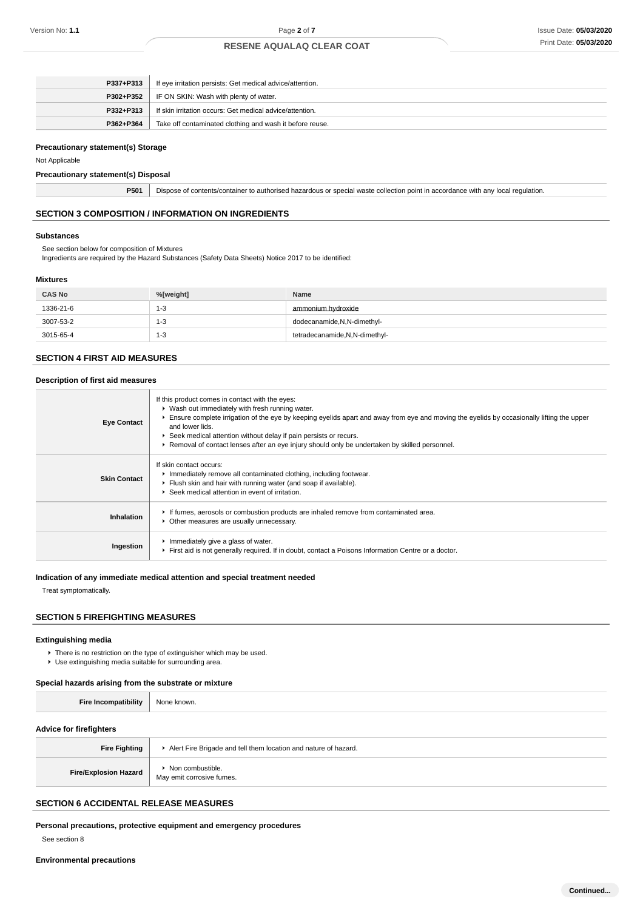| P337+P313 | If eye irritation persists: Get medical advice/attention. |
|-----------|-----------------------------------------------------------|
|           | <b>P302+P352</b>   IF ON SKIN: Wash with plenty of water. |
| P332+P313 | If skin irritation occurs: Get medical advice/attention.  |
| P362+P364 | Take off contaminated clothing and wash it before reuse.  |

## **Precautionary statement(s) Storage**

Not Applicable

## **Precautionary statement(s) Disposal**

**P501** Dispose of contents/container to authorised hazardous or special waste collection point in accordance with any local regulation.

## **SECTION 3 COMPOSITION / INFORMATION ON INGREDIENTS**

#### **Substances**

See section below for composition of Mixtures

Ingredients are required by the Hazard Substances (Safety Data Sheets) Notice 2017 to be identified:

## **Mixtures**

| <b>CAS No</b> | %[weight] | <b>Name</b>                     |
|---------------|-----------|---------------------------------|
| 1336-21-6     | $1 - 3$   | ammonium hydroxide              |
| 3007-53-2     | $1 - 3$   | dodecanamide, N, N-dimethyl-    |
| 3015-65-4     | $1 - 3$   | tetradecanamide, N, N-dimethyl- |

## **SECTION 4 FIRST AID MEASURES**

#### **Description of first aid measures**

| <b>Eye Contact</b>  | If this product comes in contact with the eyes:<br>▶ Wash out immediately with fresh running water.<br>Ensure complete irrigation of the eye by keeping eyelids apart and away from eye and moving the eyelids by occasionally lifting the upper<br>and lower lids.<br>▶ Seek medical attention without delay if pain persists or recurs.<br>► Removal of contact lenses after an eye injury should only be undertaken by skilled personnel. |
|---------------------|----------------------------------------------------------------------------------------------------------------------------------------------------------------------------------------------------------------------------------------------------------------------------------------------------------------------------------------------------------------------------------------------------------------------------------------------|
| <b>Skin Contact</b> | If skin contact occurs:<br>Inmediately remove all contaminated clothing, including footwear.<br>Flush skin and hair with running water (and soap if available).<br>▶ Seek medical attention in event of irritation.                                                                                                                                                                                                                          |
| Inhalation          | If fumes, aerosols or combustion products are inhaled remove from contaminated area.<br>• Other measures are usually unnecessary.                                                                                                                                                                                                                                                                                                            |
| Ingestion           | Immediately give a glass of water.<br>First aid is not generally required. If in doubt, contact a Poisons Information Centre or a doctor.                                                                                                                                                                                                                                                                                                    |

## **Indication of any immediate medical attention and special treatment needed**

Treat symptomatically.

## **SECTION 5 FIREFIGHTING MEASURES**

#### **Extinguishing media**

▶ There is no restriction on the type of extinguisher which may be used. Use extinguishing media suitable for surrounding area.

## **Special hazards arising from the substrate or mixture**

| <b>Fire Incompatibility</b>    | None known.                                                     |
|--------------------------------|-----------------------------------------------------------------|
| <b>Advice for firefighters</b> |                                                                 |
| <b>Fire Fighting</b>           | Alert Fire Brigade and tell them location and nature of hazard. |
| <b>Fire/Explosion Hazard</b>   | • Non combustible.<br>May emit corrosive fumes.                 |
|                                |                                                                 |

## **SECTION 6 ACCIDENTAL RELEASE MEASURES**

**Personal precautions, protective equipment and emergency procedures**

See section 8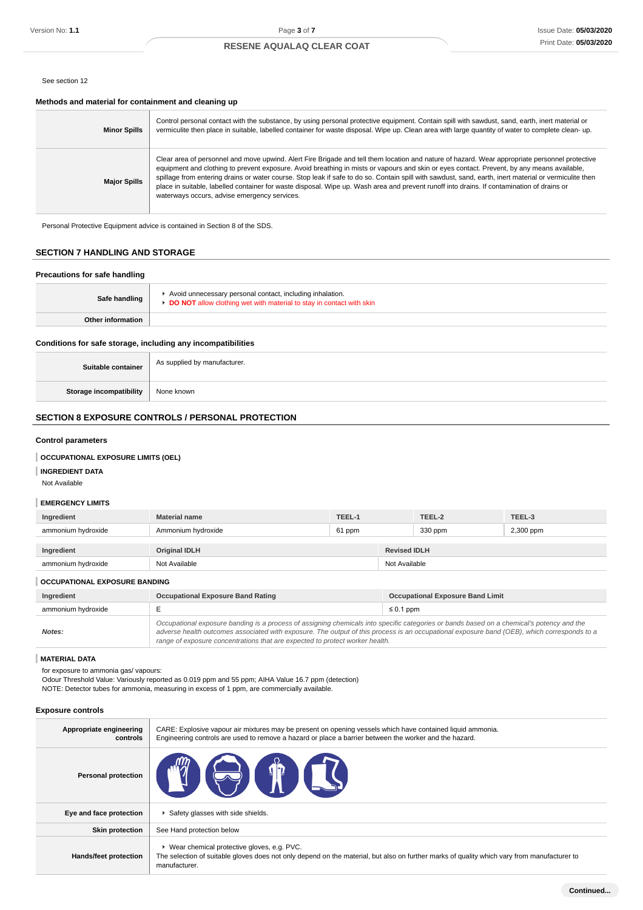#### See section 12

#### **Methods and material for containment and cleaning up**

| <b>Minor Spills</b> | Control personal contact with the substance, by using personal protective equipment. Contain spill with sawdust, sand, earth, inert material or<br>vermiculite then place in suitable, labelled container for waste disposal. Wipe up. Clean area with large quantity of water to complete clean-up.                                                                                                                                                                                                                                                                                                                                                 |
|---------------------|------------------------------------------------------------------------------------------------------------------------------------------------------------------------------------------------------------------------------------------------------------------------------------------------------------------------------------------------------------------------------------------------------------------------------------------------------------------------------------------------------------------------------------------------------------------------------------------------------------------------------------------------------|
| <b>Major Spills</b> | Clear area of personnel and move upwind. Alert Fire Brigade and tell them location and nature of hazard. Wear appropriate personnel protective<br>equipment and clothing to prevent exposure. Avoid breathing in mists or vapours and skin or eyes contact. Prevent, by any means available,<br>spillage from entering drains or water course. Stop leak if safe to do so. Contain spill with sawdust, sand, earth, inert material or vermiculite then<br>place in suitable, labelled container for waste disposal. Wipe up. Wash area and prevent runoff into drains. If contamination of drains or<br>waterways occurs, advise emergency services. |

Personal Protective Equipment advice is contained in Section 8 of the SDS.

## **SECTION 7 HANDLING AND STORAGE**

# **Precautions for safe handling Safe handling** Avoid unnecessary personal contact, including inhalation. **DO NOT** allow clothing wet with material to stay in contact with skin **Other information**

## **Conditions for safe storage, including any incompatibilities**

| Suitable container      | As supplied by manufacturer. |
|-------------------------|------------------------------|
| Storage incompatibility | None known                   |

## **SECTION 8 EXPOSURE CONTROLS / PERSONAL PROTECTION**

#### **Control parameters**

#### **OCCUPATIONAL EXPOSURE LIMITS (OEL)**

**INGREDIENT DATA**

Not Available

## **EMERGENCY LIMITS**

| Ingredient         | <b>Material name</b> | TEEL-1 |  | TEEL-2              | TEEL-3    |  |
|--------------------|----------------------|--------|--|---------------------|-----------|--|
| ammonium hydroxide | Ammonium hydroxide   | 61 ppm |  | 330 ppm             | 2,300 ppm |  |
|                    |                      |        |  |                     |           |  |
| Ingredient         | <b>Original IDLH</b> |        |  | <b>Revised IDLH</b> |           |  |
| ammonium hydroxide | Not Available        |        |  | Not Available       |           |  |

#### **OCCUPATIONAL EXPOSURE BANDING**

| Ingredient         | <b>Occupational Exposure Band Rating</b>                                                                                                                                                                                                                                                                                                                                 | <b>Occupational Exposure Band Limit</b> |
|--------------------|--------------------------------------------------------------------------------------------------------------------------------------------------------------------------------------------------------------------------------------------------------------------------------------------------------------------------------------------------------------------------|-----------------------------------------|
| ammonium hydroxide |                                                                                                                                                                                                                                                                                                                                                                          | $\leq 0.1$ ppm                          |
| Notes:             | Occupational exposure banding is a process of assigning chemicals into specific categories or bands based on a chemical's potency and the<br>adverse health outcomes associated with exposure. The output of this process is an occupational exposure band (OEB), which corresponds to a<br>range of exposure concentrations that are expected to protect worker health. |                                         |

#### **MATERIAL DATA**

for exposure to ammonia gas/ vapours:

Odour Threshold Value: Variously reported as 0.019 ppm and 55 ppm; AIHA Value 16.7 ppm (detection) NOTE: Detector tubes for ammonia, measuring in excess of 1 ppm, are commercially available.

#### **Exposure controls**

| Appropriate engineering<br>controls | CARE: Explosive vapour air mixtures may be present on opening vessels which have contained liquid ammonia.<br>Engineering controls are used to remove a hazard or place a barrier between the worker and the hazard. |
|-------------------------------------|----------------------------------------------------------------------------------------------------------------------------------------------------------------------------------------------------------------------|
| <b>Personal protection</b>          | <b>THE STAR</b><br>$\overline{\phantom{a}}$                                                                                                                                                                          |
| Eye and face protection             | Safety glasses with side shields.                                                                                                                                                                                    |
| <b>Skin protection</b>              | See Hand protection below                                                                                                                                                                                            |
| Hands/feet protection               | ▶ Wear chemical protective gloves, e.g. PVC.<br>The selection of suitable gloves does not only depend on the material, but also on further marks of quality which vary from manufacturer to<br>manufacturer.         |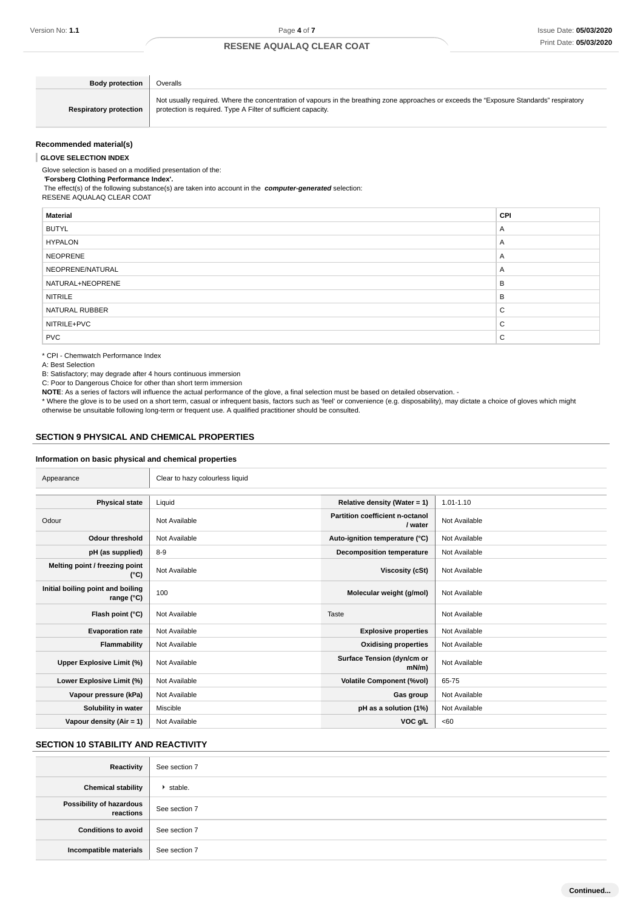$\overline{a}$ 

## **RESENE AQUALAQ CLEAR COAT**

| <b>Body protection</b>        | Overalls                                                                                                                                                                                                   |
|-------------------------------|------------------------------------------------------------------------------------------------------------------------------------------------------------------------------------------------------------|
| <b>Respiratory protection</b> | Not usually required. Where the concentration of vapours in the breathing zone approaches or exceeds the "Exposure Standards" respiratory<br>protection is required. Type A Filter of sufficient capacity. |

#### **Recommended material(s)**

#### **GLOVE SELECTION INDEX**

Glove selection is based on a modified presentation of the:

 **'Forsberg Clothing Performance Index'.**

 The effect(s) of the following substance(s) are taken into account in the **computer-generated** selection: RESENE AQUALAQ CLEAR COAT

| <b>CPI</b> |
|------------|
| A          |
| A          |
| A          |
| A          |
| B          |
| B          |
| C          |
| C          |
| C          |
|            |

\* CPI - Chemwatch Performance Index

A: Best Selection

B: Satisfactory; may degrade after 4 hours continuous immersion

C: Poor to Dangerous Choice for other than short term immersion

**NOTE**: As a series of factors will influence the actual performance of the glove, a final selection must be based on detailed observation. -

\* Where the glove is to be used on a short term, casual or infrequent basis, factors such as 'feel' or convenience (e.g. disposability), may dictate a choice of gloves which might otherwise be unsuitable following long-term or frequent use. A qualified practitioner should be consulted.

#### **SECTION 9 PHYSICAL AND CHEMICAL PROPERTIES**

## **Information on basic physical and chemical properties**

| Appearance                                               | Clear to hazy colourless liquid |                                            |               |
|----------------------------------------------------------|---------------------------------|--------------------------------------------|---------------|
| <b>Physical state</b>                                    | Liquid                          | Relative density (Water = 1)               | $1.01 - 1.10$ |
| Odour                                                    | Not Available                   | Partition coefficient n-octanol<br>/ water | Not Available |
| Odour threshold                                          | Not Available                   | Auto-ignition temperature (°C)             | Not Available |
| pH (as supplied)                                         | $8-9$                           | <b>Decomposition temperature</b>           | Not Available |
| Melting point / freezing point<br>(°C)                   | Not Available                   | Viscosity (cSt)                            | Not Available |
| Initial boiling point and boiling<br>range $(^{\circ}C)$ | 100                             | Molecular weight (g/mol)                   | Not Available |
| Flash point (°C)                                         | Not Available                   | Taste                                      | Not Available |
| <b>Evaporation rate</b>                                  | Not Available                   | <b>Explosive properties</b>                | Not Available |
| Flammability                                             | Not Available                   | <b>Oxidising properties</b>                | Not Available |
| Upper Explosive Limit (%)                                | Not Available                   | Surface Tension (dyn/cm or<br>$mN/m$ )     | Not Available |
| Lower Explosive Limit (%)                                | Not Available                   | <b>Volatile Component (%vol)</b>           | 65-75         |
| Vapour pressure (kPa)                                    | Not Available                   | Gas group                                  | Not Available |
| Solubility in water                                      | Miscible                        | pH as a solution (1%)                      | Not Available |
| Vapour density (Air = 1)                                 | Not Available                   | VOC g/L                                    | <60           |

## **SECTION 10 STABILITY AND REACTIVITY**

| Reactivity                | See section 7   |
|---------------------------|-----------------|
| <b>Chemical stability</b> | $\cdot$ stable. |
| Possibility of hazardous  | See section 7   |
| Conditions to avoid       | See section 7   |
| Incompatible materials    | See section 7   |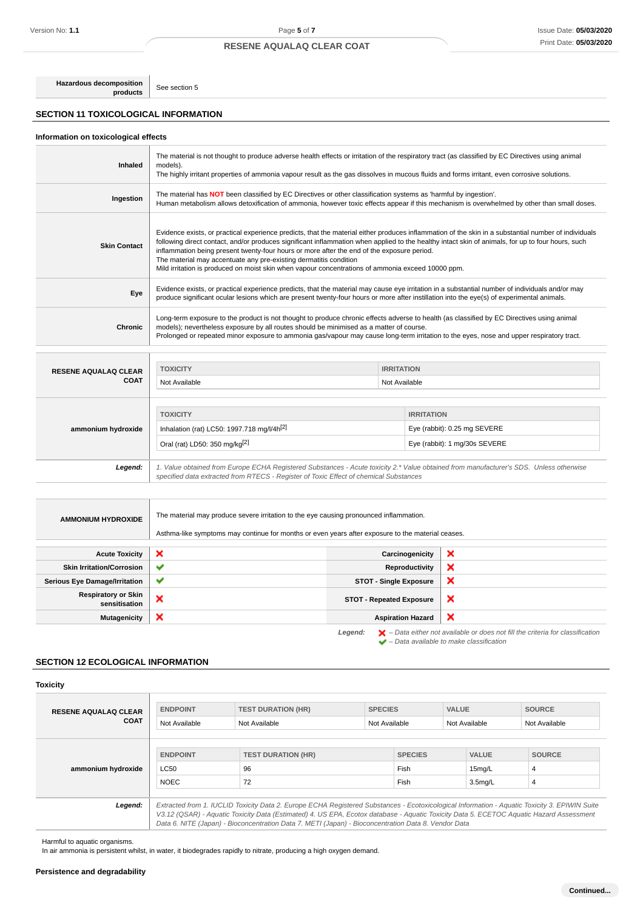**Hazardous decomposition** See section 5

## **SECTION 11 TOXICOLOGICAL INFORMATION**

## **Information on toxicological effects**

| <b>Inhaled</b>      | The material is not thought to produce adverse health effects or irritation of the respiratory tract (as classified by EC Directives using animal<br>models).<br>The highly irritant properties of ammonia vapour result as the gas dissolves in mucous fluids and forms irritant, even corrosive solutions.                                                                                                                                                                                                                                                                      |
|---------------------|-----------------------------------------------------------------------------------------------------------------------------------------------------------------------------------------------------------------------------------------------------------------------------------------------------------------------------------------------------------------------------------------------------------------------------------------------------------------------------------------------------------------------------------------------------------------------------------|
| Ingestion           | The material has <b>NOT</b> been classified by EC Directives or other classification systems as 'harmful by ingestion'.<br>Human metabolism allows detoxification of ammonia, however toxic effects appear if this mechanism is overwhelmed by other than small doses.                                                                                                                                                                                                                                                                                                            |
| <b>Skin Contact</b> | Evidence exists, or practical experience predicts, that the material either produces inflammation of the skin in a substantial number of individuals<br>following direct contact, and/or produces significant inflammation when applied to the healthy intact skin of animals, for up to four hours, such<br>inflammation being present twenty-four hours or more after the end of the exposure period.<br>The material may accentuate any pre-existing dermatitis condition<br>Mild irritation is produced on moist skin when vapour concentrations of ammonia exceed 10000 ppm. |
| Eye                 | Evidence exists, or practical experience predicts, that the material may cause eye irritation in a substantial number of individuals and/or may<br>produce significant ocular lesions which are present twenty-four hours or more after instillation into the eye(s) of experimental animals.                                                                                                                                                                                                                                                                                     |
| <b>Chronic</b>      | Long-term exposure to the product is not thought to produce chronic effects adverse to health (as classified by EC Directives using animal<br>models); nevertheless exposure by all routes should be minimised as a matter of course.<br>Prolonged or repeated minor exposure to ammonia gas/vapour may cause long-term irritation to the eyes, nose and upper respiratory tract.                                                                                                                                                                                                 |

| <b>RESENE AQUALAQ CLEAR</b> | <b>TOXICITY</b>                                                                                                                                                                                                                 | <b>IRRITATION</b> |                               |  |
|-----------------------------|---------------------------------------------------------------------------------------------------------------------------------------------------------------------------------------------------------------------------------|-------------------|-------------------------------|--|
| <b>COAT</b>                 | Not Available                                                                                                                                                                                                                   | Not Available     |                               |  |
|                             |                                                                                                                                                                                                                                 |                   |                               |  |
|                             | <b>TOXICITY</b>                                                                                                                                                                                                                 |                   | <b>IRRITATION</b>             |  |
| ammonium hydroxide          | Inhalation (rat) LC50: 1997.718 mg/l/4h <sup>[2]</sup>                                                                                                                                                                          |                   | Eye (rabbit): 0.25 mg SEVERE  |  |
|                             | Oral (rat) LD50: 350 mg/kg <sup>[2]</sup>                                                                                                                                                                                       |                   | Eye (rabbit): 1 mg/30s SEVERE |  |
|                             |                                                                                                                                                                                                                                 |                   |                               |  |
| Legend:                     | 1. Value obtained from Europe ECHA Registered Substances - Acute toxicity 2.* Value obtained from manufacturer's SDS. Unless otherwise<br>specified data extracted from RTECS - Register of Toxic Effect of chemical Substances |                   |                               |  |

| <b>AMMONIUM HYDROXIDE</b>                   | The material may produce severe irritation to the eye causing pronounced inflammation.<br>Asthma-like symptoms may continue for months or even years after exposure to the material ceases. |                                 |                                                                                                    |
|---------------------------------------------|---------------------------------------------------------------------------------------------------------------------------------------------------------------------------------------------|---------------------------------|----------------------------------------------------------------------------------------------------|
|                                             |                                                                                                                                                                                             |                                 |                                                                                                    |
| <b>Acute Toxicity</b>                       | ×                                                                                                                                                                                           | Carcinogenicity                 | ×                                                                                                  |
| <b>Skin Irritation/Corrosion</b>            | ✔                                                                                                                                                                                           | Reproductivity                  | ×                                                                                                  |
| <b>Serious Eye Damage/Irritation</b>        | ✔                                                                                                                                                                                           | <b>STOT - Single Exposure</b>   | ×                                                                                                  |
| <b>Respiratory or Skin</b><br>sensitisation | ×                                                                                                                                                                                           | <b>STOT - Repeated Exposure</b> | ×                                                                                                  |
| <b>Mutagenicity</b>                         | ×                                                                                                                                                                                           | <b>Aspiration Hazard</b>        | ×                                                                                                  |
|                                             |                                                                                                                                                                                             | Legend:                         | $\blacktriangleright$ - Data either not available or does not fill the criteria for classification |

 $\blacktriangleright$  – Data either not available to make classification<br> $\blacktriangleright$  – Data available to make classification

## **SECTION 12 ECOLOGICAL INFORMATION**

**Toxicity**

| <b>RESENE AQUALAQ CLEAR</b><br><b>COAT</b> | <b>ENDPOINT</b><br>Not Available                                                                                                                                                                                                                                                                                                                                                                                                                          | <b>TEST DURATION (HR)</b><br>Not Available | <b>SPECIES</b><br>Not Available |                        | <b>SOURCE</b><br><b>VALUE</b><br>Not Available<br>Not Available |                    |
|--------------------------------------------|-----------------------------------------------------------------------------------------------------------------------------------------------------------------------------------------------------------------------------------------------------------------------------------------------------------------------------------------------------------------------------------------------------------------------------------------------------------|--------------------------------------------|---------------------------------|------------------------|-----------------------------------------------------------------|--------------------|
| ammonium hydroxide                         | <b>ENDPOINT</b><br>LC50                                                                                                                                                                                                                                                                                                                                                                                                                                   | <b>TEST DURATION (HR)</b><br>96            |                                 | <b>SPECIES</b><br>Fish | <b>VALUE</b><br>15mg/L                                          | <b>SOURCE</b><br>4 |
| Legend:                                    | <b>NOEC</b><br>72<br>Fish<br>3.5 <sub>mq</sub> /L<br>4<br>Extracted from 1. IUCLID Toxicity Data 2. Europe ECHA Registered Substances - Ecotoxicological Information - Aquatic Toxicity 3. EPIWIN Suite<br>V3.12 (QSAR) - Aquatic Toxicity Data (Estimated) 4. US EPA, Ecotox database - Aquatic Toxicity Data 5. ECETOC Aquatic Hazard Assessment<br>Data 6. NITE (Japan) - Bioconcentration Data 7. METI (Japan) - Bioconcentration Data 8. Vendor Data |                                            |                                 |                        |                                                                 |                    |

Harmful to aquatic organisms.

In air ammonia is persistent whilst, in water, it biodegrades rapidly to nitrate, producing a high oxygen demand.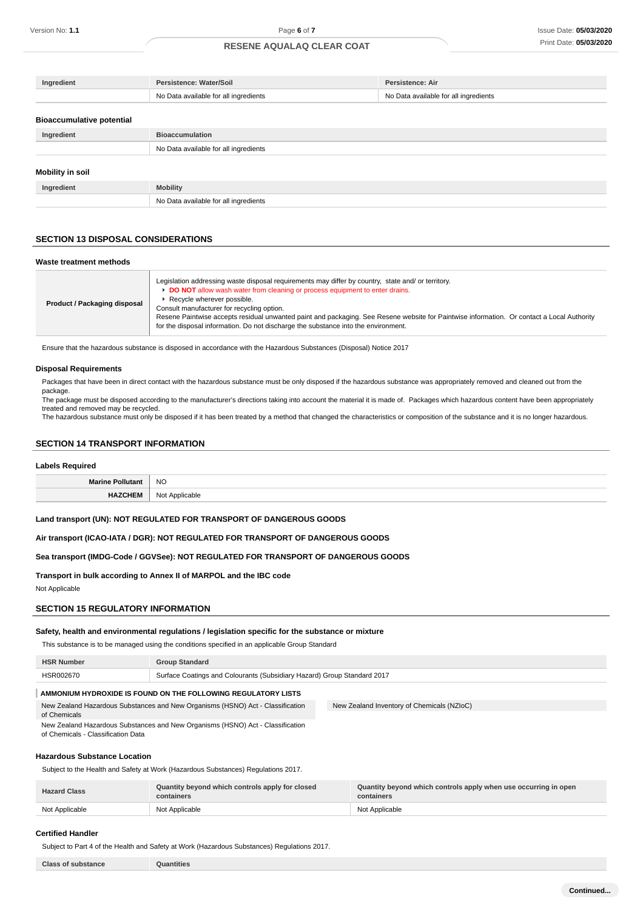| Ingredient                       | Persistence: Water/Soil               | Persistence: Air                      |
|----------------------------------|---------------------------------------|---------------------------------------|
|                                  | No Data available for all ingredients | No Data available for all ingredients |
|                                  |                                       |                                       |
| <b>Bioaccumulative potential</b> |                                       |                                       |
| Ingredient                       | <b>Bioaccumulation</b>                |                                       |
|                                  | No Data available for all ingredients |                                       |
|                                  |                                       |                                       |
| <b>Mobility in soil</b>          |                                       |                                       |
| Ingredient                       | <b>Mobility</b>                       |                                       |
|                                  | No Data available for all ingredients |                                       |

#### **SECTION 13 DISPOSAL CONSIDERATIONS**

#### **Waste treatment methods**

| Product / Packaging disposal | Legislation addressing waste disposal requirements may differ by country, state and/ or territory.<br>DO NOT allow wash water from cleaning or process equipment to enter drains.<br>Recycle wherever possible.<br>Consult manufacturer for recycling option.<br>Resene Paintwise accepts residual unwanted paint and packaging. See Resene website for Paintwise information. Or contact a Local Authority<br>for the disposal information. Do not discharge the substance into the environment. |
|------------------------------|---------------------------------------------------------------------------------------------------------------------------------------------------------------------------------------------------------------------------------------------------------------------------------------------------------------------------------------------------------------------------------------------------------------------------------------------------------------------------------------------------|
|------------------------------|---------------------------------------------------------------------------------------------------------------------------------------------------------------------------------------------------------------------------------------------------------------------------------------------------------------------------------------------------------------------------------------------------------------------------------------------------------------------------------------------------|

Ensure that the hazardous substance is disposed in accordance with the Hazardous Substances (Disposal) Notice 2017

#### **Disposal Requirements**

Packages that have been in direct contact with the hazardous substance must be only disposed if the hazardous substance was appropriately removed and cleaned out from the package.

The package must be disposed according to the manufacturer's directions taking into account the material it is made of. Packages which hazardous content have been appropriately treated and removed may be recycled.

The hazardous substance must only be disposed if it has been treated by a method that changed the characteristics or composition of the substance and it is no longer hazardous.

## **SECTION 14 TRANSPORT INFORMATION**

## **Labels Required**

| <b>Marine Pollutant</b> | <b>NC</b><br>$\sim$ |
|-------------------------|---------------------|
| ᆸᅀᅎᅎᄔ                   | <b>NIOt</b>         |
| .                       | Applicable          |
| - 17                    | <b>IVUL</b>         |
| _________               | ___                 |

#### **Land transport (UN): NOT REGULATED FOR TRANSPORT OF DANGEROUS GOODS**

**Air transport (ICAO-IATA / DGR): NOT REGULATED FOR TRANSPORT OF DANGEROUS GOODS**

**Sea transport (IMDG-Code / GGVSee): NOT REGULATED FOR TRANSPORT OF DANGEROUS GOODS**

**Transport in bulk according to Annex II of MARPOL and the IBC code**

Not Applicable

## **SECTION 15 REGULATORY INFORMATION**

## **Safety, health and environmental regulations / legislation specific for the substance or mixture**

This substance is to be managed using the conditions specified in an applicable Group Standard

| <b>HSR Number</b>                                             | <b>Group Standard</b>                                                          |                                            |
|---------------------------------------------------------------|--------------------------------------------------------------------------------|--------------------------------------------|
| HSR002670                                                     | Surface Coatings and Colourants (Subsidiary Hazard) Group Standard 2017        |                                            |
| AMMONIUM HYDROXIDE IS FOUND ON THE FOLLOWING REGULATORY LISTS |                                                                                |                                            |
| of Chemicals                                                  | New Zealand Hazardous Substances and New Organisms (HSNO) Act - Classification | New Zealand Inventory of Chemicals (NZIoC) |
| of Chemicals - Classification Data                            | New Zealand Hazardous Substances and New Organisms (HSNO) Act - Classification |                                            |

#### **Hazardous Substance Location**

Subject to the Health and Safety at Work (Hazardous Substances) Regulations 2017.

| <b>Hazard Class</b> | Quantity beyond which controls apply for closed<br>containers | Quantity beyond which controls apply when use occurring in open<br>containers |
|---------------------|---------------------------------------------------------------|-------------------------------------------------------------------------------|
| Not Applicable      | Not Applicable                                                | Not Applicable                                                                |

#### **Certified Handler**

Subject to Part 4 of the Health and Safety at Work (Hazardous Substances) Regulations 2017.

**Class of substance Quantities**